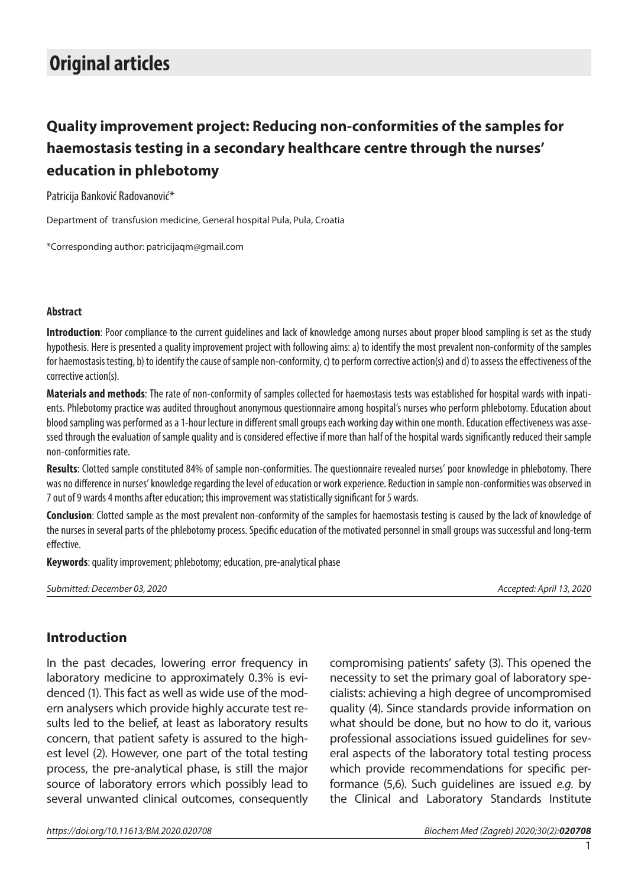# **Original articles**

## **Quality improvement project: Reducing non-conformities of the samples for haemostasis testing in a secondary healthcare centre through the nurses' education in phlebotomy**

Patricija Banković Radovanović\*

Department of transfusion medicine, General hospital Pula, Pula, Croatia

\*Corresponding author: patricijaqm@gmail.com

#### **Abstract**

**Introduction**: Poor compliance to the current guidelines and lack of knowledge among nurses about proper blood sampling is set as the study hypothesis. Here is presented a quality improvement project with following aims: a) to identify the most prevalent non-conformity of the samples for haemostasis testing, b) to identify the cause of sample non-conformity, c) to perform corrective action(s) and d) to assess the effectiveness of the corrective action(s).

**Materials and methods**: The rate of non-conformity of samples collected for haemostasis tests was established for hospital wards with inpatients. Phlebotomy practice was audited throughout anonymous questionnaire among hospital's nurses who perform phlebotomy. Education about blood sampling was performed as a 1-hour lecture in different small groups each working day within one month. Education effectiveness was assessed through the evaluation of sample quality and is considered effective if more than half of the hospital wards significantly reduced their sample non-conformities rate.

**Results**: Clotted sample constituted 84% of sample non-conformities. The questionnaire revealed nurses' poor knowledge in phlebotomy. There was no difference in nurses' knowledge regarding the level of education or work experience. Reduction in sample non-conformities was observed in 7 out of 9 wards 4 months after education; this improvement was statistically significant for 5 wards.

**Conclusion**: Clotted sample as the most prevalent non-conformity of the samples for haemostasis testing is caused by the lack of knowledge of the nurses in several parts of the phlebotomy process. Specific education of the motivated personnel in small groups was successful and long-term effective.

**Keywords**: quality improvement; phlebotomy; education, pre-analytical phase

*Submitted: December 03, 2020 Accepted: April 13, 2020*

#### **Introduction**

In the past decades, lowering error frequency in laboratory medicine to approximately 0.3% is evidenced (1). This fact as well as wide use of the modern analysers which provide highly accurate test results led to the belief, at least as laboratory results concern, that patient safety is assured to the highest level (2). However, one part of the total testing process, the pre-analytical phase, is still the major source of laboratory errors which possibly lead to several unwanted clinical outcomes, consequently compromising patients' safety (3). This opened the necessity to set the primary goal of laboratory specialists: achieving a high degree of uncompromised quality (4). Since standards provide information on what should be done, but no how to do it, various professional associations issued guidelines for several aspects of the laboratory total testing process which provide recommendations for specific performance (5,6). Such guidelines are issued *e.g.* by the Clinical and Laboratory Standards Institute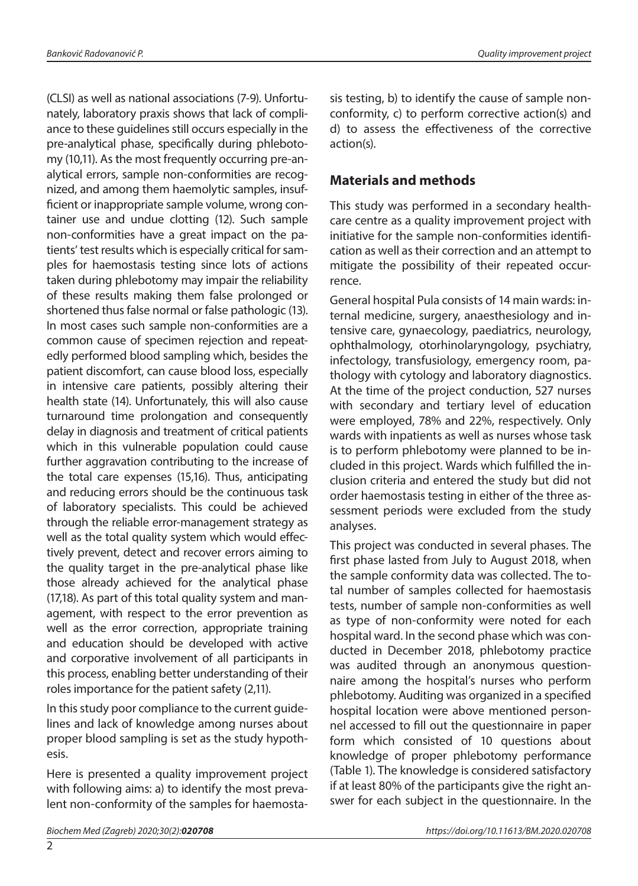(CLSI) as well as national associations (7-9). Unfortunately, laboratory praxis shows that lack of compliance to these guidelines still occurs especially in the pre-analytical phase, specifically during phlebotomy (10,11). As the most frequently occurring pre-analytical errors, sample non-conformities are recognized, and among them haemolytic samples, insufficient or inappropriate sample volume, wrong container use and undue clotting (12). Such sample non-conformities have a great impact on the patients' test results which is especially critical for samples for haemostasis testing since lots of actions taken during phlebotomy may impair the reliability of these results making them false prolonged or shortened thus false normal or false pathologic (13). In most cases such sample non-conformities are a common cause of specimen rejection and repeatedly performed blood sampling which, besides the patient discomfort, can cause blood loss, especially in intensive care patients, possibly altering their health state (14). Unfortunately, this will also cause turnaround time prolongation and consequently delay in diagnosis and treatment of critical patients which in this vulnerable population could cause further aggravation contributing to the increase of the total care expenses (15,16). Thus, anticipating and reducing errors should be the continuous task of laboratory specialists. This could be achieved through the reliable error-management strategy as well as the total quality system which would effectively prevent, detect and recover errors aiming to the quality target in the pre-analytical phase like those already achieved for the analytical phase (17,18). As part of this total quality system and management, with respect to the error prevention as well as the error correction, appropriate training and education should be developed with active and corporative involvement of all participants in this process, enabling better understanding of their roles importance for the patient safety (2,11).

In this study poor compliance to the current guidelines and lack of knowledge among nurses about proper blood sampling is set as the study hypothesis.

Here is presented a quality improvement project with following aims: a) to identify the most prevalent non-conformity of the samples for haemosta-

## **Materials and methods**

This study was performed in a secondary healthcare centre as a quality improvement project with initiative for the sample non-conformities identification as well as their correction and an attempt to mitigate the possibility of their repeated occurrence.

General hospital Pula consists of 14 main wards: internal medicine, surgery, anaesthesiology and intensive care, gynaecology, paediatrics, neurology, ophthalmology, otorhinolaryngology, psychiatry, infectology, transfusiology, emergency room, pathology with cytology and laboratory diagnostics. At the time of the project conduction, 527 nurses with secondary and tertiary level of education were employed, 78% and 22%, respectively. Only wards with inpatients as well as nurses whose task is to perform phlebotomy were planned to be included in this project. Wards which fulfilled the inclusion criteria and entered the study but did not order haemostasis testing in either of the three assessment periods were excluded from the study analyses.

This project was conducted in several phases. The first phase lasted from July to August 2018, when the sample conformity data was collected. The total number of samples collected for haemostasis tests, number of sample non-conformities as well as type of non-conformity were noted for each hospital ward. In the second phase which was conducted in December 2018, phlebotomy practice was audited through an anonymous questionnaire among the hospital's nurses who perform phlebotomy. Auditing was organized in a specified hospital location were above mentioned personnel accessed to fill out the questionnaire in paper form which consisted of 10 questions about knowledge of proper phlebotomy performance (Table 1). The knowledge is considered satisfactory if at least 80% of the participants give the right answer for each subject in the questionnaire. In the

 $\overline{2}$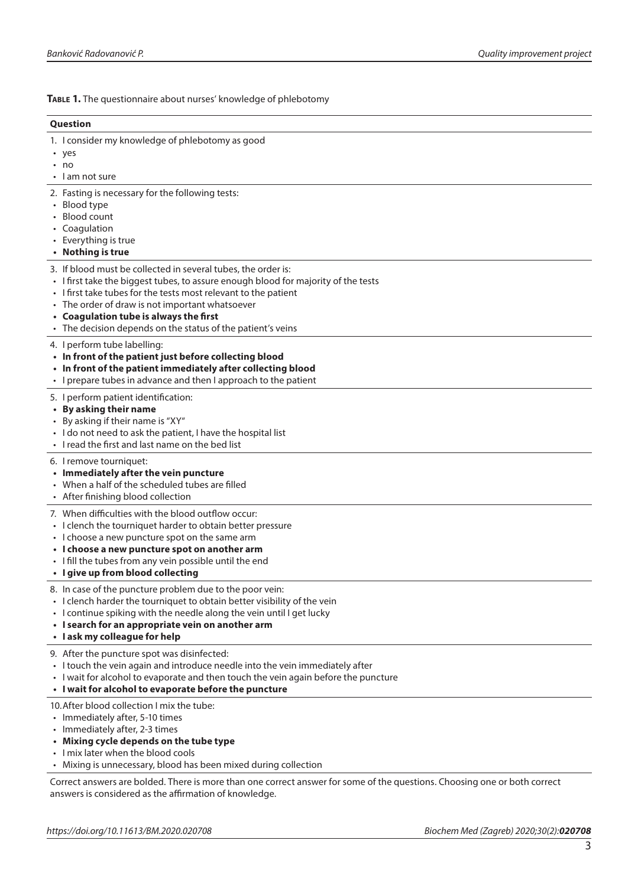**Table 1.** The questionnaire about nurses' knowledge of phlebotomy

| Question                                                                                                                                                                                                                                                                                                                                                                           |
|------------------------------------------------------------------------------------------------------------------------------------------------------------------------------------------------------------------------------------------------------------------------------------------------------------------------------------------------------------------------------------|
| 1. I consider my knowledge of phlebotomy as good<br>• yes<br>$\cdot$ no<br>• I am not sure                                                                                                                                                                                                                                                                                         |
| 2. Fasting is necessary for the following tests:<br>• Blood type<br>Blood count<br>• Coagulation<br>• Everything is true<br>• Nothing is true                                                                                                                                                                                                                                      |
| 3. If blood must be collected in several tubes, the order is:<br>• I first take the biggest tubes, to assure enough blood for majority of the tests<br>• I first take tubes for the tests most relevant to the patient<br>• The order of draw is not important whatsoever<br>• Coagulation tube is always the first<br>• The decision depends on the status of the patient's veins |
| 4. I perform tube labelling:<br>• In front of the patient just before collecting blood<br>• In front of the patient immediately after collecting blood<br>• I prepare tubes in advance and then I approach to the patient                                                                                                                                                          |
| 5. I perform patient identification:<br>• By asking their name<br>• By asking if their name is "XY"<br>• I do not need to ask the patient, I have the hospital list<br>• I read the first and last name on the bed list                                                                                                                                                            |
| 6. I remove tourniquet:<br>• Immediately after the vein puncture<br>• When a half of the scheduled tubes are filled<br>• After finishing blood collection                                                                                                                                                                                                                          |
| 7. When difficulties with the blood outflow occur:<br>• I clench the tourniquet harder to obtain better pressure<br>• I choose a new puncture spot on the same arm<br>• I choose a new puncture spot on another arm<br>• I fill the tubes from any vein possible until the end<br>• I give up from blood collecting                                                                |
| 8. In case of the puncture problem due to the poor vein:<br>• I clench harder the tourniquet to obtain better visibility of the vein<br>• I continue spiking with the needle along the vein until I get lucky<br>• I search for an appropriate vein on another arm<br>· I ask my colleague for help                                                                                |
| 9. After the puncture spot was disinfected:<br>• I touch the vein again and introduce needle into the vein immediately after<br>• I wait for alcohol to evaporate and then touch the vein again before the puncture<br>• I wait for alcohol to evaporate before the puncture                                                                                                       |
| 10. After blood collection I mix the tube:<br>• Immediately after, 5-10 times<br>• Immediately after, 2-3 times<br>• Mixing cycle depends on the tube type<br>• I mix later when the blood cools                                                                                                                                                                                   |

• Mixing is unnecessary, blood has been mixed during collection

Correct answers are bolded. There is more than one correct answer for some of the questions. Choosing one or both correct answers is considered as the affirmation of knowledge.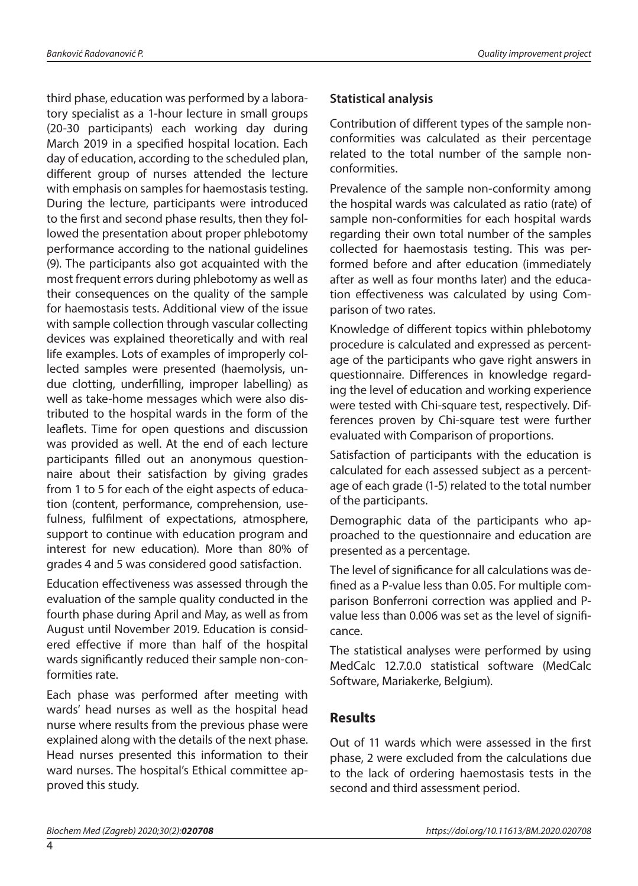third phase, education was performed by a laboratory specialist as a 1-hour lecture in small groups (20-30 participants) each working day during March 2019 in a specified hospital location. Each day of education, according to the scheduled plan, different group of nurses attended the lecture with emphasis on samples for haemostasis testing. During the lecture, participants were introduced to the first and second phase results, then they followed the presentation about proper phlebotomy performance according to the national guidelines (9). The participants also got acquainted with the most frequent errors during phlebotomy as well as their consequences on the quality of the sample for haemostasis tests. Additional view of the issue with sample collection through vascular collecting devices was explained theoretically and with real life examples. Lots of examples of improperly collected samples were presented (haemolysis, undue clotting, underfilling, improper labelling) as well as take-home messages which were also distributed to the hospital wards in the form of the leaflets. Time for open questions and discussion was provided as well. At the end of each lecture participants filled out an anonymous questionnaire about their satisfaction by giving grades from 1 to 5 for each of the eight aspects of education (content, performance, comprehension, usefulness, fulfilment of expectations, atmosphere, support to continue with education program and interest for new education). More than 80% of grades 4 and 5 was considered good satisfaction.

Education effectiveness was assessed through the evaluation of the sample quality conducted in the fourth phase during April and May, as well as from August until November 2019. Education is considered effective if more than half of the hospital wards significantly reduced their sample non-conformities rate.

Each phase was performed after meeting with wards' head nurses as well as the hospital head nurse where results from the previous phase were explained along with the details of the next phase. Head nurses presented this information to their ward nurses. The hospital's Ethical committee approved this study.

#### **Statistical analysis**

Contribution of different types of the sample nonconformities was calculated as their percentage related to the total number of the sample nonconformities.

Prevalence of the sample non-conformity among the hospital wards was calculated as ratio (rate) of sample non-conformities for each hospital wards regarding their own total number of the samples collected for haemostasis testing. This was performed before and after education (immediately after as well as four months later) and the education effectiveness was calculated by using Comparison of two rates.

Knowledge of different topics within phlebotomy procedure is calculated and expressed as percentage of the participants who gave right answers in questionnaire. Differences in knowledge regarding the level of education and working experience were tested with Chi-square test, respectively. Differences proven by Chi-square test were further evaluated with Comparison of proportions.

Satisfaction of participants with the education is calculated for each assessed subject as a percentage of each grade (1-5) related to the total number of the participants.

Demographic data of the participants who approached to the questionnaire and education are presented as a percentage.

The level of significance for all calculations was defined as a P-value less than 0.05. For multiple comparison Bonferroni correction was applied and Pvalue less than 0.006 was set as the level of significance.

The statistical analyses were performed by using MedCalc 12.7.0.0 statistical software (MedCalc Software, Mariakerke, Belgium).

#### **Results**

Out of 11 wards which were assessed in the first phase, 2 were excluded from the calculations due to the lack of ordering haemostasis tests in the second and third assessment period.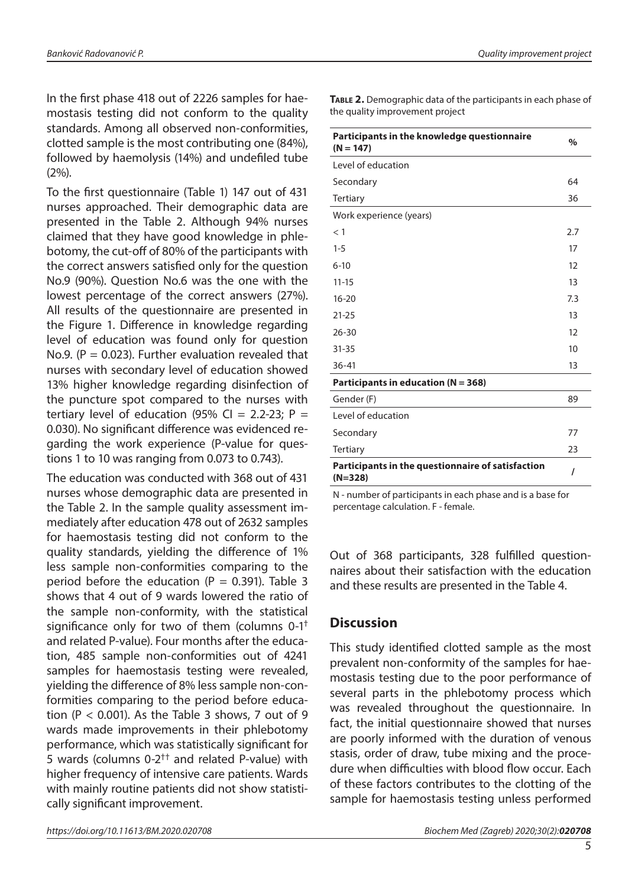In the first phase 418 out of 2226 samples for haemostasis testing did not conform to the quality standards. Among all observed non-conformities, clotted sample is the most contributing one (84%), followed by haemolysis (14%) and undefiled tube

(2%). To the first questionnaire (Table 1) 147 out of 431 nurses approached. Their demographic data are presented in the Table 2. Although 94% nurses claimed that they have good knowledge in phlebotomy, the cut-off of 80% of the participants with the correct answers satisfied only for the question No.9 (90%). Question No.6 was the one with the lowest percentage of the correct answers (27%). All results of the questionnaire are presented in the Figure 1. Difference in knowledge regarding level of education was found only for question No.9. ( $P = 0.023$ ). Further evaluation revealed that nurses with secondary level of education showed 13% higher knowledge regarding disinfection of the puncture spot compared to the nurses with tertiary level of education (95% CI = 2.2-23; P = 0.030). No significant difference was evidenced regarding the work experience (P-value for questions 1 to 10 was ranging from 0.073 to 0.743).

The education was conducted with 368 out of 431 nurses whose demographic data are presented in the Table 2. In the sample quality assessment immediately after education 478 out of 2632 samples for haemostasis testing did not conform to the quality standards, yielding the difference of 1% less sample non-conformities comparing to the period before the education ( $P = 0.391$ ). Table 3 shows that 4 out of 9 wards lowered the ratio of the sample non-conformity, with the statistical significance only for two of them (columns  $0-1^+$ and related P-value). Four months after the education, 485 sample non-conformities out of 4241 samples for haemostasis testing were revealed, yielding the difference of 8% less sample non-conformities comparing to the period before education ( $P < 0.001$ ). As the Table 3 shows, 7 out of 9 wards made improvements in their phlebotomy performance, which was statistically significant for 5 wards (columns  $0-2^{++}$  and related P-value) with higher frequency of intensive care patients. Wards with mainly routine patients did not show statistically significant improvement.

*Banković Radovanović P. Quality improvement project*

| Participants in the knowledge questionnaire<br>$(N = 147)$     | $\frac{0}{0}$ |
|----------------------------------------------------------------|---------------|
| Level of education                                             |               |
| Secondary                                                      | 64            |
| Tertiary                                                       | 36            |
| Work experience (years)                                        |               |
| $<$ 1                                                          | 2.7           |
| $1 - 5$                                                        | 17            |
| $6 - 10$                                                       | 12            |
| $11 - 15$                                                      | 13            |
| $16 - 20$                                                      | 7.3           |
| $21 - 25$                                                      | 13            |
| $26 - 30$                                                      | 12            |
| $31 - 35$                                                      | 10            |
| $36 - 41$                                                      | 13            |
| Participants in education ( $N = 368$ )                        |               |
| Gender (F)                                                     | 89            |
| Level of education                                             |               |
| Secondary                                                      | 77            |
| <b>Tertiary</b>                                                | 23            |
| Participants in the questionnaire of satisfaction<br>$(N=328)$ | I             |

**Table 2.** Demographic data of the participants in each phase of the quality improvement project

N - number of participants in each phase and is a base for percentage calculation. F - female.

Out of 368 participants, 328 fulfilled questionnaires about their satisfaction with the education and these results are presented in the Table 4.

### **Discussion**

This study identified clotted sample as the most prevalent non-conformity of the samples for haemostasis testing due to the poor performance of several parts in the phlebotomy process which was revealed throughout the questionnaire. In fact, the initial questionnaire showed that nurses are poorly informed with the duration of venous stasis, order of draw, tube mixing and the procedure when difficulties with blood flow occur. Each of these factors contributes to the clotting of the sample for haemostasis testing unless performed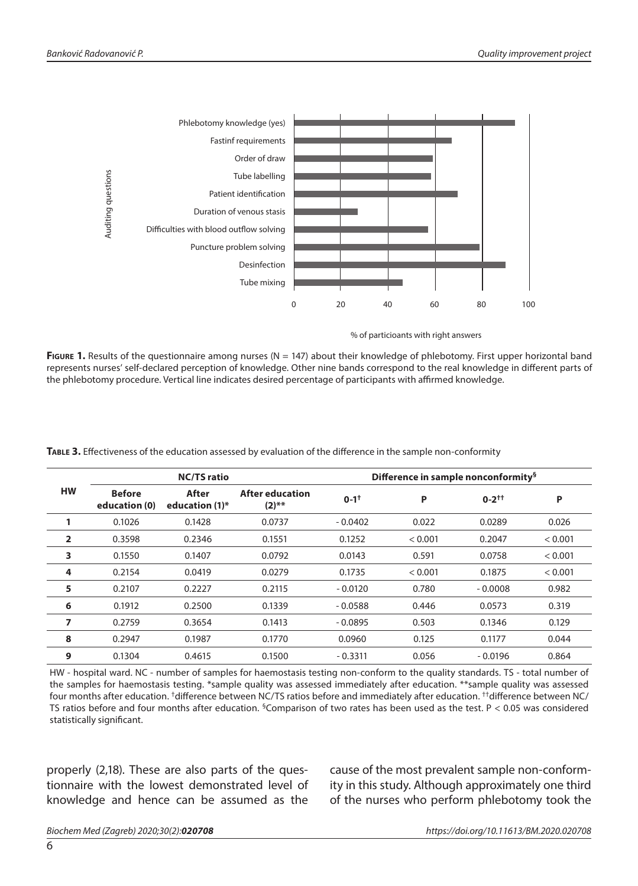

% of particioants with right answers

**Figure 1.** Results of the questionnaire among nurses (N = 147) about their knowledge of phlebotomy. First upper horizontal band represents nurses' self-declared perception of knowledge. Other nine bands correspond to the real knowledge in different parts of the phlebotomy procedure. Vertical line indicates desired percentage of participants with affirmed knowledge.

| <b>HW</b>      | <b>NC/TS ratio</b>             |                            |                             | Difference in sample nonconformity <sup>§</sup> |         |              |         |
|----------------|--------------------------------|----------------------------|-----------------------------|-------------------------------------------------|---------|--------------|---------|
|                | <b>Before</b><br>education (0) | After<br>education $(1)^*$ | After education<br>$(2)$ ** | $0 - 1$ <sup>+</sup>                            | P       | $0 - 2^{++}$ | P       |
|                | 0.1026                         | 0.1428                     | 0.0737                      | $-0.0402$                                       | 0.022   | 0.0289       | 0.026   |
| $\overline{2}$ | 0.3598                         | 0.2346                     | 0.1551                      | 0.1252                                          | < 0.001 | 0.2047       | < 0.001 |
| 3              | 0.1550                         | 0.1407                     | 0.0792                      | 0.0143                                          | 0.591   | 0.0758       | < 0.001 |
| 4              | 0.2154                         | 0.0419                     | 0.0279                      | 0.1735                                          | < 0.001 | 0.1875       | < 0.001 |
| 5              | 0.2107                         | 0.2227                     | 0.2115                      | $-0.0120$                                       | 0.780   | $-0.0008$    | 0.982   |
| 6              | 0.1912                         | 0.2500                     | 0.1339                      | $-0.0588$                                       | 0.446   | 0.0573       | 0.319   |
| 7              | 0.2759                         | 0.3654                     | 0.1413                      | $-0.0895$                                       | 0.503   | 0.1346       | 0.129   |
| 8              | 0.2947                         | 0.1987                     | 0.1770                      | 0.0960                                          | 0.125   | 0.1177       | 0.044   |
| 9              | 0.1304                         | 0.4615                     | 0.1500                      | $-0.3311$                                       | 0.056   | $-0.0196$    | 0.864   |

**Table 3.** Effectiveness of the education assessed by evaluation of the difference in the sample non-conformity

HW - hospital ward. NC - number of samples for haemostasis testing non-conform to the quality standards. TS - total number of the samples for haemostasis testing. \*sample quality was assessed immediately after education. \*\*sample quality was assessed four months after education. †difference between NC/TS ratios before and immediately after education. ††difference between NC/ TS ratios before and four months after education. <sup>§</sup>Comparison of two rates has been used as the test. P < 0.05 was considered statistically significant.

properly (2,18). These are also parts of the questionnaire with the lowest demonstrated level of knowledge and hence can be assumed as the

cause of the most prevalent sample non-conformity in this study. Although approximately one third of the nurses who perform phlebotomy took the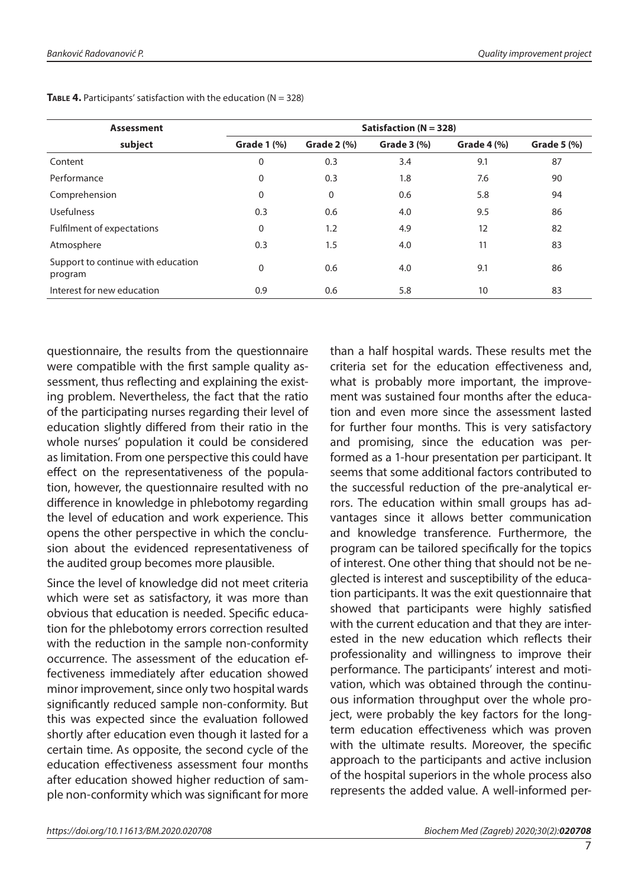| <b>Assessment</b>                             | Satisfaction ( $N = 328$ ) |                    |                    |                    |                    |  |  |
|-----------------------------------------------|----------------------------|--------------------|--------------------|--------------------|--------------------|--|--|
| subject                                       | <b>Grade 1 (%)</b>         | <b>Grade 2 (%)</b> | <b>Grade 3 (%)</b> | <b>Grade 4 (%)</b> | <b>Grade 5 (%)</b> |  |  |
| Content                                       | 0                          | 0.3                | 3.4                | 9.1                | 87                 |  |  |
| Performance                                   | 0                          | 0.3                | 1.8                | 7.6                | 90                 |  |  |
| Comprehension                                 | $\mathbf{0}$               | $\Omega$           | 0.6                | 5.8                | 94                 |  |  |
| <b>Usefulness</b>                             | 0.3                        | 0.6                | 4.0                | 9.5                | 86                 |  |  |
| Fulfilment of expectations                    | $\mathbf{0}$               | 1.2                | 4.9                | 12                 | 82                 |  |  |
| Atmosphere                                    | 0.3                        | 1.5                | 4.0                | 11                 | 83                 |  |  |
| Support to continue with education<br>program | $\mathbf{0}$               | 0.6                | 4.0                | 9.1                | 86                 |  |  |
| Interest for new education                    | 0.9                        | 0.6                | 5.8                | 10                 | 83                 |  |  |

**TABLE 4.** Participants' satisfaction with the education  $(N = 328)$ 

questionnaire, the results from the questionnaire were compatible with the first sample quality assessment, thus reflecting and explaining the existing problem. Nevertheless, the fact that the ratio of the participating nurses regarding their level of education slightly differed from their ratio in the whole nurses' population it could be considered as limitation. From one perspective this could have effect on the representativeness of the population, however, the questionnaire resulted with no difference in knowledge in phlebotomy regarding the level of education and work experience. This opens the other perspective in which the conclusion about the evidenced representativeness of the audited group becomes more plausible.

Since the level of knowledge did not meet criteria which were set as satisfactory, it was more than obvious that education is needed. Specific education for the phlebotomy errors correction resulted with the reduction in the sample non-conformity occurrence. The assessment of the education effectiveness immediately after education showed minor improvement, since only two hospital wards significantly reduced sample non-conformity. But this was expected since the evaluation followed shortly after education even though it lasted for a certain time. As opposite, the second cycle of the education effectiveness assessment four months after education showed higher reduction of sample non-conformity which was significant for more

than a half hospital wards. These results met the criteria set for the education effectiveness and, what is probably more important, the improvement was sustained four months after the education and even more since the assessment lasted for further four months. This is very satisfactory and promising, since the education was performed as a 1-hour presentation per participant. It seems that some additional factors contributed to the successful reduction of the pre-analytical errors. The education within small groups has advantages since it allows better communication and knowledge transference. Furthermore, the program can be tailored specifically for the topics of interest. One other thing that should not be neglected is interest and susceptibility of the education participants. It was the exit questionnaire that showed that participants were highly satisfied with the current education and that they are interested in the new education which reflects their professionality and willingness to improve their performance. The participants' interest and motivation, which was obtained through the continuous information throughput over the whole project, were probably the key factors for the longterm education effectiveness which was proven with the ultimate results. Moreover, the specific approach to the participants and active inclusion of the hospital superiors in the whole process also represents the added value. A well-informed per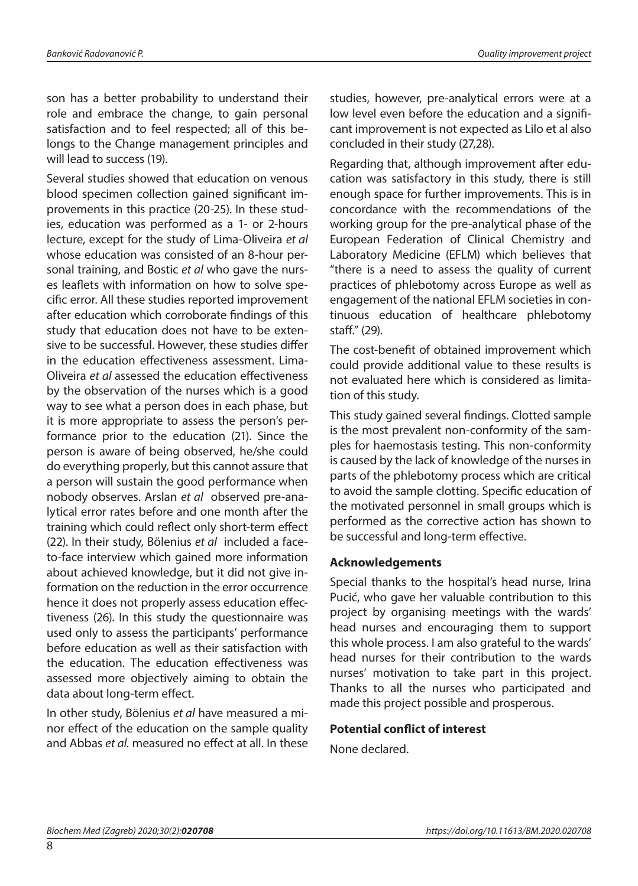son has a better probability to understand their role and embrace the change, to gain personal satisfaction and to feel respected; all of this belongs to the Change management principles and will lead to success (19).

Several studies showed that education on venous blood specimen collection gained significant improvements in this practice (20-25). In these studies, education was performed as a 1- or 2-hours lecture, except for the study of Lima-Oliveira *et al* whose education was consisted of an 8-hour personal training, and Bostic *et al* who gave the nurses leaflets with information on how to solve specific error. All these studies reported improvement after education which corroborate findings of this study that education does not have to be extensive to be successful. However, these studies differ in the education effectiveness assessment. Lima-Oliveira *et al* assessed the education effectiveness by the observation of the nurses which is a good way to see what a person does in each phase, but it is more appropriate to assess the person's performance prior to the education (21). Since the person is aware of being observed, he/she could do everything properly, but this cannot assure that a person will sustain the good performance when nobody observes. Arslan *et al* observed pre-analytical error rates before and one month after the training which could reflect only short-term effect (22). In their study, Bölenius *et al* included a faceto-face interview which gained more information about achieved knowledge, but it did not give information on the reduction in the error occurrence hence it does not properly assess education effectiveness (26). In this study the questionnaire was used only to assess the participants' performance before education as well as their satisfaction with the education. The education effectiveness was assessed more objectively aiming to obtain the data about long-term effect.

In other study, Bölenius *et al* have measured a minor effect of the education on the sample quality and Abbas *et al.* measured no effect at all. In these

studies, however, pre-analytical errors were at a low level even before the education and a significant improvement is not expected as Lilo et al also concluded in their study (27,28).

Regarding that, although improvement after education was satisfactory in this study, there is still enough space for further improvements. This is in concordance with the recommendations of the working group for the pre-analytical phase of the European Federation of Clinical Chemistry and Laboratory Medicine (EFLM) which believes that "there is a need to assess the quality of current practices of phlebotomy across Europe as well as engagement of the national EFLM societies in continuous education of healthcare phlebotomy staff." (29).

The cost-benefit of obtained improvement which could provide additional value to these results is not evaluated here which is considered as limitation of this study.

This study gained several findings. Clotted sample is the most prevalent non-conformity of the samples for haemostasis testing. This non-conformity is caused by the lack of knowledge of the nurses in parts of the phlebotomy process which are critical to avoid the sample clotting. Specific education of the motivated personnel in small groups which is performed as the corrective action has shown to be successful and long-term effective.

#### **Acknowledgements**

Special thanks to the hospital's head nurse, Irina Pucić, who gave her valuable contribution to this project by organising meetings with the wards' head nurses and encouraging them to support this whole process. I am also grateful to the wards' head nurses for their contribution to the wards nurses' motivation to take part in this project. Thanks to all the nurses who participated and made this project possible and prosperous.

#### **Potential conflict of interest**

None declared.